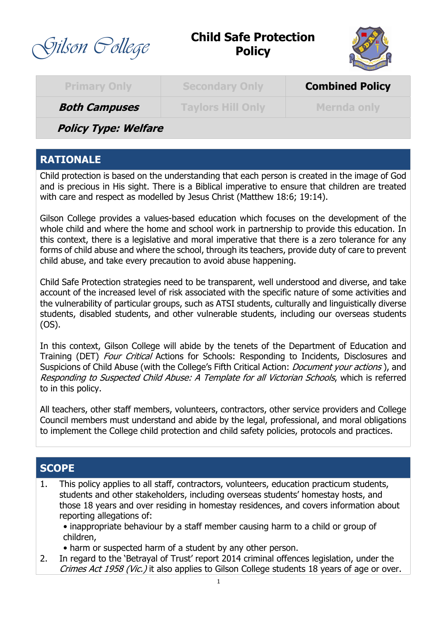

# **Child Safe Protection Policy**



| <b>Primary Only</b>  | Secondary Only           | <b>Combined Policy</b> |
|----------------------|--------------------------|------------------------|
| <b>Both Campuses</b> | <b>Taylors Hill Only</b> | <b>Mernda only</b>     |
| Dalieu Tupou Walfaro |                          |                        |

**Policy Type: Welfare**

## **RATIONALE**

Child protection is based on the understanding that each person is created in the image of God and is precious in His sight. There is a Biblical imperative to ensure that children are treated with care and respect as modelled by Jesus Christ (Matthew 18:6; 19:14).

Gilson College provides a values-based education which focuses on the development of the whole child and where the home and school work in partnership to provide this education. In this context, there is a legislative and moral imperative that there is a zero tolerance for any forms of child abuse and where the school, through its teachers, provide duty of care to prevent child abuse, and take every precaution to avoid abuse happening.

Child Safe Protection strategies need to be transparent, well understood and diverse, and take account of the increased level of risk associated with the specific nature of some activities and the vulnerability of particular groups, such as ATSI students, culturally and linguistically diverse students, disabled students, and other vulnerable students, including our overseas students (OS).

In this context, Gilson College will abide by the tenets of the Department of Education and Training (DET) Four Critical Actions for Schools: Responding to Incidents, Disclosures and Suspicions of Child Abuse (with the College's Fifth Critical Action: *Document your actions*), and Responding to Suspected Child Abuse: A Template for all Victorian Schools, which is referred to in this policy.

All teachers, other staff members, volunteers, contractors, other service providers and College Council members must understand and abide by the legal, professional, and moral obligations to implement the College child protection and child safety policies, protocols and practices.

## **SCOPE**

- 1. This policy applies to all staff, contractors, volunteers, education practicum students, students and other stakeholders, including overseas students' homestay hosts, and those 18 years and over residing in homestay residences, and covers information about reporting allegations of:
	- inappropriate behaviour by a staff member causing harm to a child or group of children,
	- harm or suspected harm of a student by any other person.
- 2. In regard to the 'Betrayal of Trust' report 2014 criminal offences legislation, under the Crimes Act 1958 (Vic.) it also applies to Gilson College students 18 years of age or over.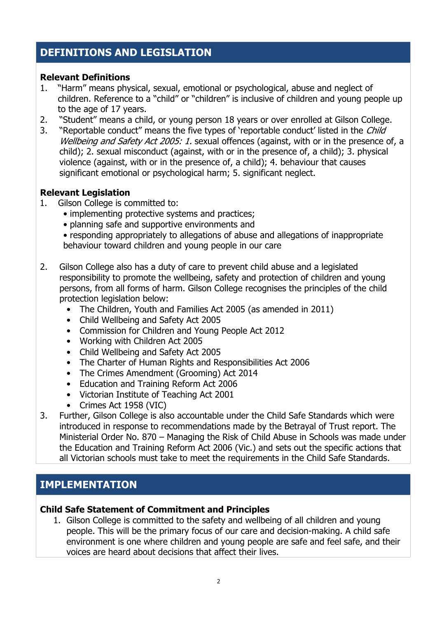## **DEFINITIONS AND LEGISLATION**

#### **Relevant Definitions**

- 1. "Harm" means physical, sexual, emotional or psychological, abuse and neglect of children. Reference to a "child" or "children" is inclusive of children and young people up to the age of 17 years.
- 2. "Student" means a child, or young person 18 years or over enrolled at Gilson College.
- 3. "Reportable conduct" means the five types of 'reportable conduct' listed in the *Child* Wellbeing and Safety Act 2005: 1. sexual offences (against, with or in the presence of, a child); 2. sexual misconduct (against, with or in the presence of, a child); 3. physical violence (against, with or in the presence of, a child); 4. behaviour that causes significant emotional or psychological harm; 5. significant neglect.

#### **Relevant Legislation**

- 1. Gilson College is committed to:
	- implementing protective systems and practices;
	- planning safe and supportive environments and

• responding appropriately to allegations of abuse and allegations of inappropriate behaviour toward children and young people in our care

- 2. Gilson College also has a duty of care to prevent child abuse and a legislated responsibility to promote the wellbeing, safety and protection of children and young persons, from all forms of harm. Gilson College recognises the principles of the child protection legislation below:
	- The Children, Youth and Families Act 2005 (as amended in 2011)
	- Child Wellbeing and Safety Act 2005
	- Commission for Children and Young People Act 2012
	- Working with Children Act 2005
	- Child Wellbeing and Safety Act 2005
	- The Charter of Human Rights and Responsibilities Act 2006
	- The Crimes Amendment (Grooming) Act 2014
	- Education and Training Reform Act 2006
	- Victorian Institute of Teaching Act 2001
	- Crimes Act 1958 (VIC)
- 3. Further, Gilson College is also accountable under the Child Safe Standards which were introduced in response to recommendations made by the Betrayal of Trust report. The Ministerial Order No. 870 – Managing the Risk of Child Abuse in Schools was made under the Education and Training Reform Act 2006 (Vic.) and sets out the specific actions that all Victorian schools must take to meet the requirements in the Child Safe Standards.

## **IMPLEMENTATION**

#### **Child Safe Statement of Commitment and Principles**

1. Gilson College is committed to the safety and wellbeing of all children and young people. This will be the primary focus of our care and decision-making. A child safe environment is one where children and young people are safe and feel safe, and their voices are heard about decisions that affect their lives.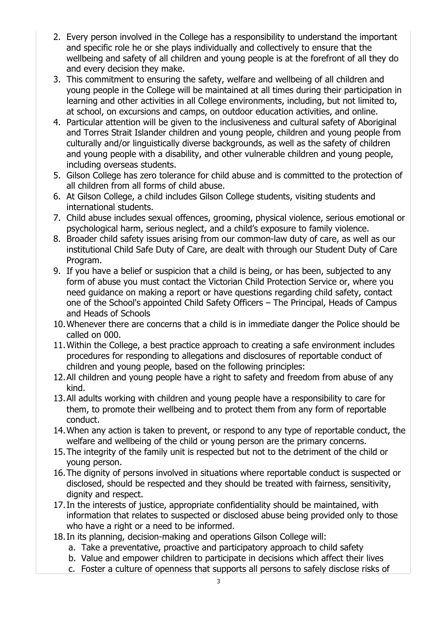- 2. Every person involved in the College has a responsibility to understand the important and specific role he or she plays individually and collectively to ensure that the wellbeing and safety of all children and young people is at the forefront of all they do and every decision they make.
- 3. This commitment to ensuring the safety, welfare and wellbeing of all children and young people in the College will be maintained at all times during their participation in learning and other activities in all College environments, including, but not limited to, at school, on excursions and camps, on outdoor education activities, and online.
- 4. Particular attention will be given to the inclusiveness and cultural safety of Aboriginal and Torres Strait Islander children and young people, children and young people from culturally and/or linguistically diverse backgrounds, as well as the safety of children and young people with a disability, and other vulnerable children and young people, including overseas students.
- 5. Gilson College has zero tolerance for child abuse and is committed to the protection of all children from all forms of child abuse.
- 6. At Gilson College, a child includes Gilson College students, visiting students and international students.
- 7. Child abuse includes sexual offences, grooming, physical violence, serious emotional or psychological harm, serious neglect, and a child's exposure to family violence.
- 8. Broader child safety issues arising from our common-law duty of care, as well as our institutional Child Safe Duty of Care, are dealt with through our Student Duty of Care Program.
- 9. If you have a belief or suspicion that a child is being, or has been, subjected to any form of abuse you must contact the Victorian Child Protection Service or, where you need guidance on making a report or have questions regarding child safety, contact one of the School's appointed Child Safety Officers – The Principal, Heads of Campus and Heads of Schools
- 10.Whenever there are concerns that a child is in immediate danger the Police should be called on 000.
- 11.Within the College, a best practice approach to creating a safe environment includes procedures for responding to allegations and disclosures of reportable conduct of children and young people, based on the following principles:
- 12.All children and young people have a right to safety and freedom from abuse of any kind.
- 13.All adults working with children and young people have a responsibility to care for them, to promote their wellbeing and to protect them from any form of reportable conduct.
- 14.When any action is taken to prevent, or respond to any type of reportable conduct, the welfare and wellbeing of the child or young person are the primary concerns.
- 15.The integrity of the family unit is respected but not to the detriment of the child or young person.
- 16.The dignity of persons involved in situations where reportable conduct is suspected or disclosed, should be respected and they should be treated with fairness, sensitivity, dignity and respect.
- 17.In the interests of justice, appropriate confidentiality should be maintained, with information that relates to suspected or disclosed abuse being provided only to those who have a right or a need to be informed.
- 18.In its planning, decision-making and operations Gilson College will:
	- a. Take a preventative, proactive and participatory approach to child safety
	- b. Value and empower children to participate in decisions which affect their lives
	- c. Foster a culture of openness that supports all persons to safely disclose risks of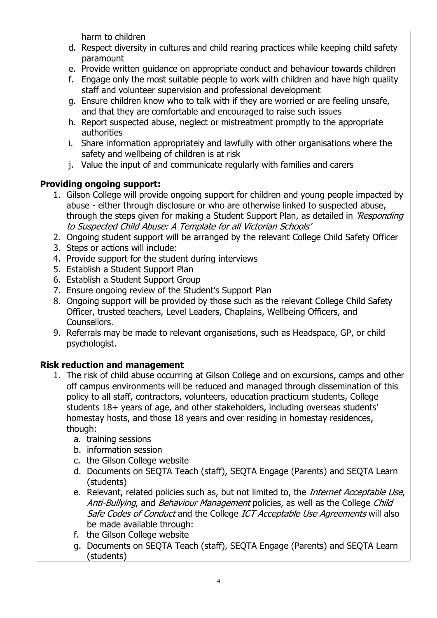harm to children

- d. Respect diversity in cultures and child rearing practices while keeping child safety paramount
- e. Provide written guidance on appropriate conduct and behaviour towards children
- f. Engage only the most suitable people to work with children and have high quality staff and volunteer supervision and professional development
- g. Ensure children know who to talk with if they are worried or are feeling unsafe, and that they are comfortable and encouraged to raise such issues
- h. Report suspected abuse, neglect or mistreatment promptly to the appropriate authorities
- i. Share information appropriately and lawfully with other organisations where the safety and wellbeing of children is at risk
- j. Value the input of and communicate regularly with families and carers

## **Providing ongoing support:**

- 1. Gilson College will provide ongoing support for children and young people impacted by abuse - either through disclosure or who are otherwise linked to suspected abuse, through the steps given for making a Student Support Plan, as detailed in 'Responding' to Suspected Child Abuse: A Template for all Victorian Schools'
- 2. Ongoing student support will be arranged by the relevant College Child Safety Officer
- 3. Steps or actions will include:
- 4. Provide support for the student during interviews
- 5. Establish a Student Support Plan
- 6. Establish a Student Support Group
- 7. Ensure ongoing review of the Student's Support Plan
- 8. Ongoing support will be provided by those such as the relevant College Child Safety Officer, trusted teachers, Level Leaders, Chaplains, Wellbeing Officers, and Counsellors.
- 9. Referrals may be made to relevant organisations, such as Headspace, GP, or child psychologist.

## **Risk reduction and management**

- 1. The risk of child abuse occurring at Gilson College and on excursions, camps and other off campus environments will be reduced and managed through dissemination of this policy to all staff, contractors, volunteers, education practicum students, College students 18+ years of age, and other stakeholders, including overseas students' homestay hosts, and those 18 years and over residing in homestay residences, though:
	- a. training sessions
	- b. information session
	- c. the Gilson College website
	- d. Documents on SEQTA Teach (staff), SEQTA Engage (Parents) and SEQTA Learn (students)
	- e. Relevant, related policies such as, but not limited to, the *Internet Acceptable Use*, Anti-Bullying, and Behaviour Management policies, as well as the College Child Safe Codes of Conduct and the College ICT Acceptable Use Agreements will also be made available through:
	- f. the Gilson College website
	- g. Documents on SEQTA Teach (staff), SEQTA Engage (Parents) and SEQTA Learn (students)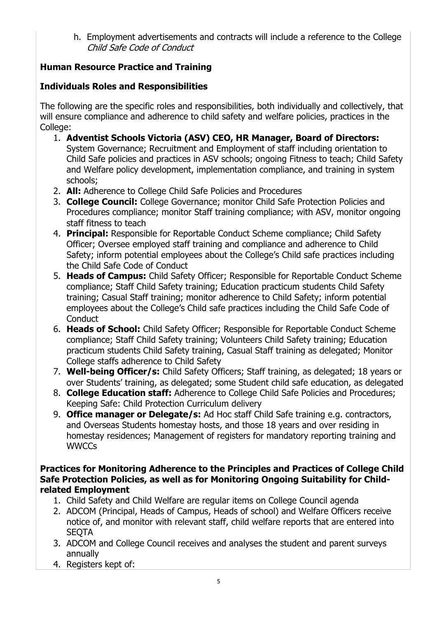h. Employment advertisements and contracts will include a reference to the College Child Safe Code of Conduct

## **Human Resource Practice and Training**

### **Individuals Roles and Responsibilities**

The following are the specific roles and responsibilities, both individually and collectively, that will ensure compliance and adherence to child safety and welfare policies, practices in the College:

- 1. **Adventist Schools Victoria (ASV) CEO, HR Manager, Board of Directors:** System Governance; Recruitment and Employment of staff including orientation to Child Safe policies and practices in ASV schools; ongoing Fitness to teach; Child Safety and Welfare policy development, implementation compliance, and training in system schools;
- 2. **All:** Adherence to College Child Safe Policies and Procedures
- 3. **College Council:** College Governance; monitor Child Safe Protection Policies and Procedures compliance; monitor Staff training compliance; with ASV, monitor ongoing staff fitness to teach
- 4. **Principal:** Responsible for Reportable Conduct Scheme compliance; Child Safety Officer; Oversee employed staff training and compliance and adherence to Child Safety; inform potential employees about the College's Child safe practices including the Child Safe Code of Conduct
- 5. **Heads of Campus:** Child Safety Officer; Responsible for Reportable Conduct Scheme compliance; Staff Child Safety training; Education practicum students Child Safety training; Casual Staff training; monitor adherence to Child Safety; inform potential employees about the College's Child safe practices including the Child Safe Code of **Conduct**
- 6. **Heads of School:** Child Safety Officer; Responsible for Reportable Conduct Scheme compliance; Staff Child Safety training; Volunteers Child Safety training; Education practicum students Child Safety training, Casual Staff training as delegated; Monitor College staffs adherence to Child Safety
- 7. **Well-being Officer/s:** Child Safety Officers; Staff training, as delegated; 18 years or over Students' training, as delegated; some Student child safe education, as delegated
- 8. **College Education staff:** Adherence to College Child Safe Policies and Procedures; Keeping Safe: Child Protection Curriculum delivery
- 9. **Office manager or Delegate/s:** Ad Hoc staff Child Safe training e.g. contractors, and Overseas Students homestay hosts, and those 18 years and over residing in homestay residences; Management of registers for mandatory reporting training and **WWCCs**

#### **Practices for Monitoring Adherence to the Principles and Practices of College Child Safe Protection Policies, as well as for Monitoring Ongoing Suitability for Childrelated Employment**

- 1. Child Safety and Child Welfare are regular items on College Council agenda
- 2. ADCOM (Principal, Heads of Campus, Heads of school) and Welfare Officers receive notice of, and monitor with relevant staff, child welfare reports that are entered into **SEQTA**
- 3. ADCOM and College Council receives and analyses the student and parent surveys annually
- 4. Registers kept of: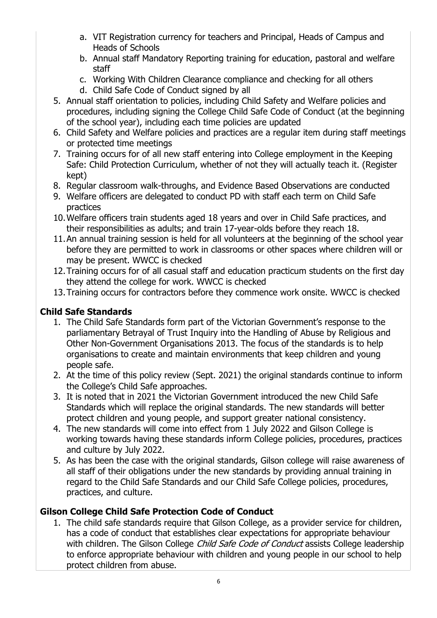- a. VIT Registration currency for teachers and Principal, Heads of Campus and Heads of Schools
- b. Annual staff Mandatory Reporting training for education, pastoral and welfare staff
- c. Working With Children Clearance compliance and checking for all others
- d. Child Safe Code of Conduct signed by all
- 5. Annual staff orientation to policies, including Child Safety and Welfare policies and procedures, including signing the College Child Safe Code of Conduct (at the beginning of the school year), including each time policies are updated
- 6. Child Safety and Welfare policies and practices are a regular item during staff meetings or protected time meetings
- 7. Training occurs for of all new staff entering into College employment in the Keeping Safe: Child Protection Curriculum, whether of not they will actually teach it. (Register kept)
- 8. Regular classroom walk-throughs, and Evidence Based Observations are conducted
- 9. Welfare officers are delegated to conduct PD with staff each term on Child Safe practices
- 10.Welfare officers train students aged 18 years and over in Child Safe practices, and their responsibilities as adults; and train 17-year-olds before they reach 18.
- 11.An annual training session is held for all volunteers at the beginning of the school year before they are permitted to work in classrooms or other spaces where children will or may be present. WWCC is checked
- 12.Training occurs for of all casual staff and education practicum students on the first day they attend the college for work. WWCC is checked
- 13.Training occurs for contractors before they commence work onsite. WWCC is checked

## **Child Safe Standards**

- 1. The Child Safe Standards form part of the Victorian Government's response to the parliamentary Betrayal of Trust Inquiry into the Handling of Abuse by Religious and Other Non-Government Organisations 2013. The focus of the standards is to help organisations to create and maintain environments that keep children and young people safe.
- 2. At the time of this policy review (Sept. 2021) the original standards continue to inform the College's Child Safe approaches.
- 3. It is noted that in 2021 the Victorian Government introduced the new Child Safe Standards which will replace the original standards. The new standards will better protect children and young people, and support greater national consistency.
- 4. The new standards will come into effect from 1 July 2022 and Gilson College is working towards having these standards inform College policies, procedures, practices and culture by July 2022.
- 5. As has been the case with the original standards, Gilson college will raise awareness of all staff of their obligations under the new standards by providing annual training in regard to the Child Safe Standards and our Child Safe College policies, procedures, practices, and culture.

## **Gilson College Child Safe Protection Code of Conduct**

1. The child safe standards require that Gilson College, as a provider service for children, has a code of conduct that establishes clear expectations for appropriate behaviour with children. The Gilson College Child Safe Code of Conduct assists College leadership to enforce appropriate behaviour with children and young people in our school to help protect children from abuse.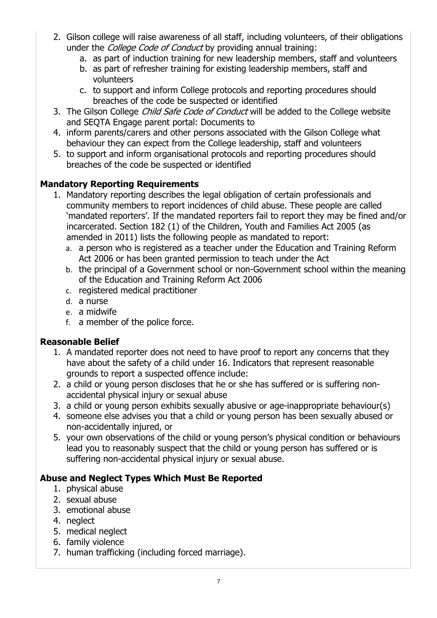- 2. Gilson college will raise awareness of all staff, including volunteers, of their obligations under the *College Code of Conduct* by providing annual training:
	- a. as part of induction training for new leadership members, staff and volunteers
	- b. as part of refresher training for existing leadership members, staff and volunteers
	- c. to support and inform College protocols and reporting procedures should breaches of the code be suspected or identified
- 3. The Gilson College *Child Safe Code of Conduct* will be added to the College website and SEQTA Engage parent portal: Documents to
- 4. inform parents/carers and other persons associated with the Gilson College what behaviour they can expect from the College leadership, staff and volunteers
- 5. to support and inform organisational protocols and reporting procedures should breaches of the code be suspected or identified

### **Mandatory Reporting Requirements**

- 1. Mandatory reporting describes the legal obligation of certain professionals and community members to report incidences of child abuse. These people are called 'mandated reporters'. If the mandated reporters fail to report they may be fined and/or incarcerated. Section 182 (1) of the Children, Youth and Families Act 2005 (as amended in 2011) lists the following people as mandated to report:
	- a. a person who is registered as a teacher under the Education and Training Reform Act 2006 or has been granted permission to teach under the Act
	- b. the principal of a Government school or non-Government school within the meaning of the Education and Training Reform Act 2006
	- c. registered medical practitioner
	- d. a nurse
	- e. a midwife
	- f. a member of the police force.

### **Reasonable Belief**

- 1. A mandated reporter does not need to have proof to report any concerns that they have about the safety of a child under 16. Indicators that represent reasonable grounds to report a suspected offence include:
- 2. a child or young person discloses that he or she has suffered or is suffering nonaccidental physical injury or sexual abuse
- 3. a child or young person exhibits sexually abusive or age-inappropriate behaviour(s)
- 4. someone else advises you that a child or young person has been sexually abused or non-accidentally injured, or
- 5. your own observations of the child or young person's physical condition or behaviours lead you to reasonably suspect that the child or young person has suffered or is suffering non-accidental physical injury or sexual abuse.

## **Abuse and Neglect Types Which Must Be Reported**

- 1. physical abuse
- 2. sexual abuse
- 3. emotional abuse
- 4. neglect
- 5. medical neglect
- 6. family violence
- 7. human trafficking (including forced marriage).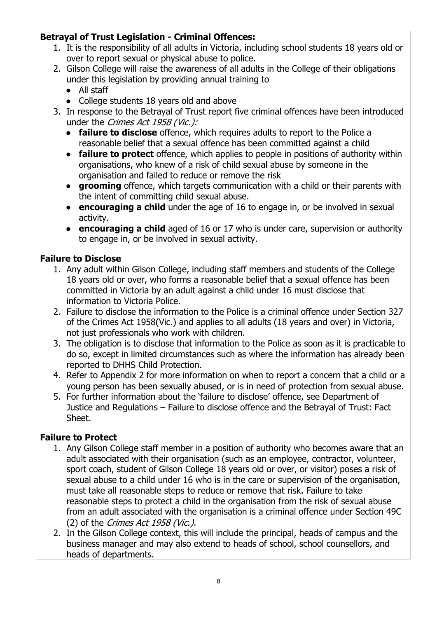### **Betrayal of Trust Legislation - Criminal Offences:**

- 1. It is the responsibility of all adults in Victoria, including school students 18 years old or over to report sexual or physical abuse to police.
- 2. Gilson College will raise the awareness of all adults in the College of their obligations under this legislation by providing annual training to
	- All staff
	- College students 18 years old and above
- 3. In response to the Betrayal of Trust report five criminal offences have been introduced under the *Crimes Act 1958 (Vic.)*:
	- **failure to disclose** offence, which requires adults to report to the Police a reasonable belief that a sexual offence has been committed against a child
	- **failure to protect** offence, which applies to people in positions of authority within organisations, who knew of a risk of child sexual abuse by someone in the organisation and failed to reduce or remove the risk
	- **grooming** offence, which targets communication with a child or their parents with the intent of committing child sexual abuse.
	- **encouraging a child** under the age of 16 to engage in, or be involved in sexual activity.
	- **encouraging a child** aged of 16 or 17 who is under care, supervision or authority to engage in, or be involved in sexual activity.

### **Failure to Disclose**

- 1. Any adult within Gilson College, including staff members and students of the College 18 years old or over, who forms a reasonable belief that a sexual offence has been committed in Victoria by an adult against a child under 16 must disclose that information to Victoria Police.
- 2. Failure to disclose the information to the Police is a criminal offence under Section 327 of the Crimes Act 1958(Vic.) and applies to all adults (18 years and over) in Victoria, not just professionals who work with children.
- 3. The obligation is to disclose that information to the Police as soon as it is practicable to do so, except in limited circumstances such as where the information has already been reported to DHHS Child Protection.
- 4. Refer to Appendix 2 for more information on when to report a concern that a child or a young person has been sexually abused, or is in need of protection from sexual abuse.
- 5. For further information about the 'failure to disclose' offence, see Department of Justice and Regulations – Failure to disclose offence and the Betrayal of Trust: Fact Sheet.

### **Failure to Protect**

- 1. Any Gilson College staff member in a position of authority who becomes aware that an adult associated with their organisation (such as an employee, contractor, volunteer, sport coach, student of Gilson College 18 years old or over, or visitor) poses a risk of sexual abuse to a child under 16 who is in the care or supervision of the organisation, must take all reasonable steps to reduce or remove that risk. Failure to take reasonable steps to protect a child in the organisation from the risk of sexual abuse from an adult associated with the organisation is a criminal offence under Section 49C (2) of the Crimes Act 1958 (Vic.).
- 2. In the Gilson College context, this will include the principal, heads of campus and the business manager and may also extend to heads of school, school counsellors, and heads of departments.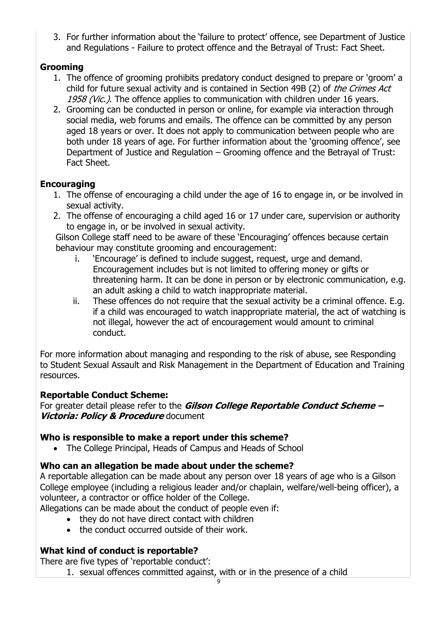3. For further information about the 'failure to protect' offence, see Department of Justice and Regulations - Failure to protect offence and the Betrayal of Trust: Fact Sheet.

### **Grooming**

- 1. The offence of grooming prohibits predatory conduct designed to prepare or 'groom' a child for future sexual activity and is contained in Section 49B (2) of *the Crimes Act* 1958 (Vic.). The offence applies to communication with children under 16 years.
- 2. Grooming can be conducted in person or online, for example via interaction through social media, web forums and emails. The offence can be committed by any person aged 18 years or over. It does not apply to communication between people who are both under 18 years of age. For further information about the 'grooming offence', see Department of Justice and Regulation – Grooming offence and the Betrayal of Trust: Fact Sheet.

### **Encouraging**

- 1. The offense of encouraging a child under the age of 16 to engage in, or be involved in sexual activity.
- 2. The offense of encouraging a child aged 16 or 17 under care, supervision or authority to engage in, or be involved in sexual activity.

Gilson College staff need to be aware of these 'Encouraging' offences because certain behaviour may constitute grooming and encouragement:

- i. 'Encourage' is defined to include suggest, request, urge and demand. Encouragement includes but is not limited to offering money or gifts or threatening harm. It can be done in person or by electronic communication, e.g. an adult asking a child to watch inappropriate material.
- ii. These offences do not require that the sexual activity be a criminal offence. E.g. if a child was encouraged to watch inappropriate material, the act of watching is not illegal, however the act of encouragement would amount to criminal conduct.

For more information about managing and responding to the risk of abuse, see Responding to Student Sexual Assault and Risk Management in the Department of Education and Training resources.

### **Reportable Conduct Scheme:**

For greater detail please refer to the **Gilson College Reportable Conduct Scheme – Victoria: Policy & Procedure** document

## **Who is responsible to make a report under this scheme?**

• The College Principal, Heads of Campus and Heads of School

## **Who can an allegation be made about under the scheme?**

A reportable allegation can be made about any person over 18 years of age who is a Gilson College employee (including a religious leader and/or chaplain, welfare/well-being officer), a volunteer, a contractor or office holder of the College.

Allegations can be made about the conduct of people even if:

- they do not have direct contact with children
- the conduct occurred outside of their work.

## **What kind of conduct is reportable?**

There are five types of 'reportable conduct':

1. sexual offences committed against, with or in the presence of a child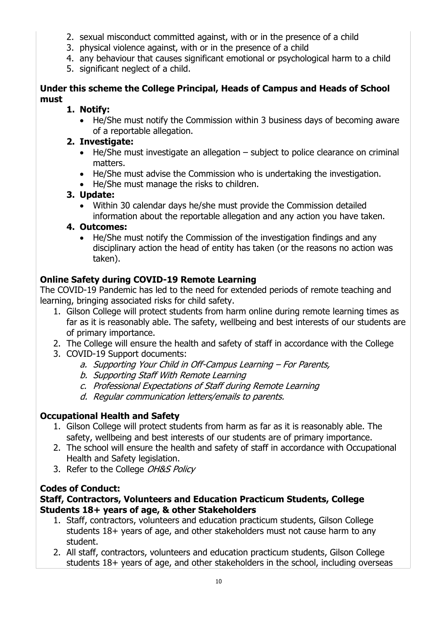- 2. sexual misconduct committed against, with or in the presence of a child
- 3. physical violence against, with or in the presence of a child
- 4. any behaviour that causes significant emotional or psychological harm to a child
- 5. significant neglect of a child.

### **Under this scheme the College Principal, Heads of Campus and Heads of School must**

## **1. Notify:**

• He/She must notify the Commission within 3 business days of becoming aware of a reportable allegation.

## **2. Investigate:**

- He/She must investigate an allegation subject to police clearance on criminal matters.
- He/She must advise the Commission who is undertaking the investigation.
- He/She must manage the risks to children.

## **3. Update:**

• Within 30 calendar days he/she must provide the Commission detailed information about the reportable allegation and any action you have taken.

## **4. Outcomes:**

• He/She must notify the Commission of the investigation findings and any disciplinary action the head of entity has taken (or the reasons no action was taken).

## **Online Safety during COVID-19 Remote Learning**

The COVID-19 Pandemic has led to the need for extended periods of remote teaching and learning, bringing associated risks for child safety.

- 1. Gilson College will protect students from harm online during remote learning times as far as it is reasonably able. The safety, wellbeing and best interests of our students are of primary importance.
- 2. The College will ensure the health and safety of staff in accordance with the College
- 3. COVID-19 Support documents:
	- a. Supporting Your Child in Off-Campus Learning For Parents,
	- b. Supporting Staff With Remote Learning
	- c. Professional Expectations of Staff during Remote Learning
	- d. Regular communication letters/emails to parents.

## **Occupational Health and Safety**

- 1. Gilson College will protect students from harm as far as it is reasonably able. The safety, wellbeing and best interests of our students are of primary importance.
- 2. The school will ensure the health and safety of staff in accordance with Occupational Health and Safety legislation.
- 3. Refer to the College OH&S Policy

## **Codes of Conduct:**

### **Staff, Contractors, Volunteers and Education Practicum Students, College Students 18+ years of age, & other Stakeholders**

- 1. Staff, contractors, volunteers and education practicum students, Gilson College students 18+ years of age, and other stakeholders must not cause harm to any student.
- 2. All staff, contractors, volunteers and education practicum students, Gilson College students 18+ years of age, and other stakeholders in the school, including overseas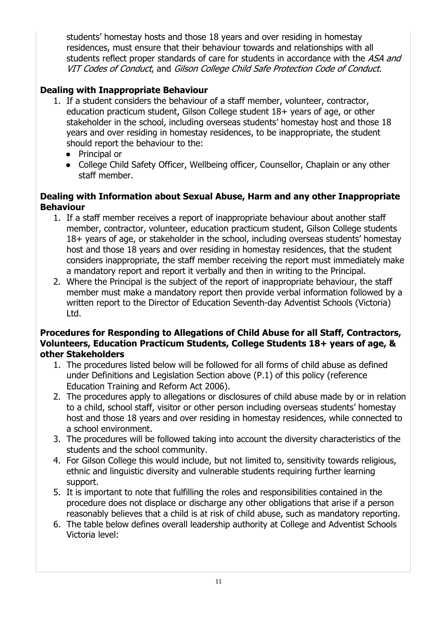students' homestay hosts and those 18 years and over residing in homestay residences, must ensure that their behaviour towards and relationships with all students reflect proper standards of care for students in accordance with the ASA and VIT Codes of Conduct, and Gilson College Child Safe Protection Code of Conduct.

## **Dealing with Inappropriate Behaviour**

- 1. If a student considers the behaviour of a staff member, volunteer, contractor, education practicum student, Gilson College student 18+ years of age, or other stakeholder in the school, including overseas students' homestay host and those 18 years and over residing in homestay residences, to be inappropriate, the student should report the behaviour to the:
	- Principal or
	- College Child Safety Officer, Wellbeing officer, Counsellor, Chaplain or any other staff member.

#### **Dealing with Information about Sexual Abuse, Harm and any other Inappropriate Behaviour**

- 1. If a staff member receives a report of inappropriate behaviour about another staff member, contractor, volunteer, education practicum student, Gilson College students 18+ years of age, or stakeholder in the school, including overseas students' homestay host and those 18 years and over residing in homestay residences, that the student considers inappropriate, the staff member receiving the report must immediately make a mandatory report and report it verbally and then in writing to the Principal.
- 2. Where the Principal is the subject of the report of inappropriate behaviour, the staff member must make a mandatory report then provide verbal information followed by a written report to the Director of Education Seventh-day Adventist Schools (Victoria) Ltd.

#### **Procedures for Responding to Allegations of Child Abuse for all Staff, Contractors, Volunteers, Education Practicum Students, College Students 18+ years of age, & other Stakeholders**

- 1. The procedures listed below will be followed for all forms of child abuse as defined under Definitions and Legislation Section above (P.1) of this policy (reference Education Training and Reform Act 2006).
- 2. The procedures apply to allegations or disclosures of child abuse made by or in relation to a child, school staff, visitor or other person including overseas students' homestay host and those 18 years and over residing in homestay residences, while connected to a school environment.
- 3. The procedures will be followed taking into account the diversity characteristics of the students and the school community.
- 4. For Gilson College this would include, but not limited to, sensitivity towards religious, ethnic and linguistic diversity and vulnerable students requiring further learning support.
- 5. It is important to note that fulfilling the roles and responsibilities contained in the procedure does not displace or discharge any other obligations that arise if a person reasonably believes that a child is at risk of child abuse, such as mandatory reporting.
- 6. The table below defines overall leadership authority at College and Adventist Schools Victoria level: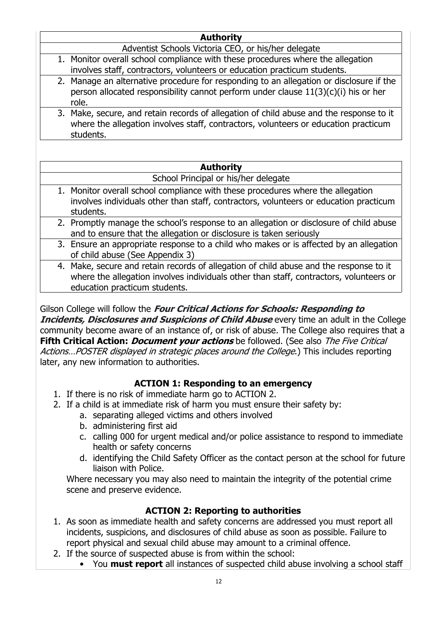#### **Authority**

Adventist Schools Victoria CEO, or his/her delegate

- 1. Monitor overall school compliance with these procedures where the allegation involves staff, contractors, volunteers or education practicum students.
- 2. Manage an alternative procedure for responding to an allegation or disclosure if the person allocated responsibility cannot perform under clause 11(3)(c)(i) his or her role.
- 3. Make, secure, and retain records of allegation of child abuse and the response to it where the allegation involves staff, contractors, volunteers or education practicum students.

#### **Authority**

#### School Principal or his/her delegate

- 1. Monitor overall school compliance with these procedures where the allegation involves individuals other than staff, contractors, volunteers or education practicum students.
	- 2. Promptly manage the school's response to an allegation or disclosure of child abuse and to ensure that the allegation or disclosure is taken seriously
- 3. Ensure an appropriate response to a child who makes or is affected by an allegation of child abuse (See Appendix 3)
- 4. Make, secure and retain records of allegation of child abuse and the response to it where the allegation involves individuals other than staff, contractors, volunteers or education practicum students.

Gilson College will follow the **Four Critical Actions for Schools: Responding to Incidents, Disclosures and Suspicions of Child Abuse** every time an adult in the College community become aware of an instance of, or risk of abuse. The College also requires that a **Fifth Critical Action:** *Document your actions* be followed. (See also *The Five Critical* Actions...POSTER displayed in strategic places around the College.) This includes reporting later, any new information to authorities.

### **ACTION 1: Responding to an emergency**

- 1. If there is no risk of immediate harm go to ACTION 2.
- 2. If a child is at immediate risk of harm you must ensure their safety by:
	- a. separating alleged victims and others involved
	- b. administering first aid
	- c. calling 000 for urgent medical and/or police assistance to respond to immediate health or safety concerns
	- d. identifying the Child Safety Officer as the contact person at the school for future liaison with Police.

Where necessary you may also need to maintain the integrity of the potential crime scene and preserve evidence.

## **ACTION 2: Reporting to authorities**

- 1. As soon as immediate health and safety concerns are addressed you must report all incidents, suspicions, and disclosures of child abuse as soon as possible. Failure to report physical and sexual child abuse may amount to a criminal offence.
- 2. If the source of suspected abuse is from within the school:
	- You **must report** all instances of suspected child abuse involving a school staff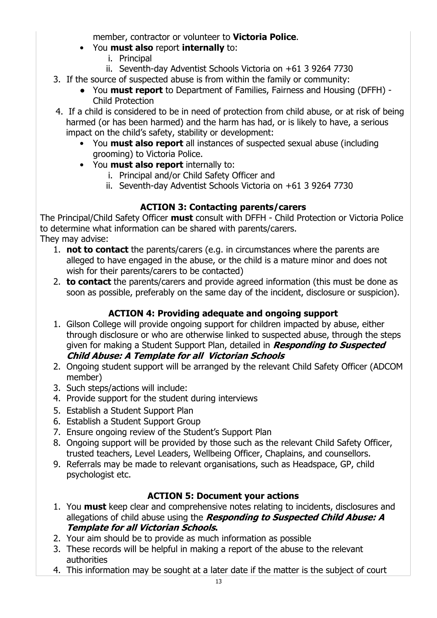member, contractor or volunteer to **Victoria Police**.

- You **must also** report **internally** to:
	- i. Principal
	- ii. Seventh-day Adventist Schools Victoria on +61 3 9264 7730
- 3. If the source of suspected abuse is from within the family or community:
	- You **must report** to Department of Families, Fairness and Housing (DFFH) Child Protection
- 4. If a child is considered to be in need of protection from child abuse, or at risk of being harmed (or has been harmed) and the harm has had, or is likely to have, a serious impact on the child's safety, stability or development:
	- You **must also report** all instances of suspected sexual abuse (including grooming) to Victoria Police.
	- You **must also report** internally to:
		- i. Principal and/or Child Safety Officer and
		- ii. Seventh-day Adventist Schools Victoria on +61 3 9264 7730

### **ACTION 3: Contacting parents/carers**

The Principal/Child Safety Officer **must** consult with DFFH - Child Protection or Victoria Police to determine what information can be shared with parents/carers. They may advise:

- 1. **not to contact** the parents/carers (e.g. in circumstances where the parents are alleged to have engaged in the abuse, or the child is a mature minor and does not wish for their parents/carers to be contacted)
- 2. **to contact** the parents/carers and provide agreed information (this must be done as soon as possible, preferably on the same day of the incident, disclosure or suspicion).

## **ACTION 4: Providing adequate and ongoing support**

- 1. Gilson College will provide ongoing support for children impacted by abuse, either through disclosure or who are otherwise linked to suspected abuse, through the steps given for making a Student Support Plan, detailed in **Responding to Suspected Child Abuse: A Template for all Victorian Schools**
- 2. Ongoing student support will be arranged by the relevant Child Safety Officer (ADCOM member)
- 3. Such steps/actions will include:
- 4. Provide support for the student during interviews
- 5. Establish a Student Support Plan
- 6. Establish a Student Support Group
- 7. Ensure ongoing review of the Student's Support Plan
- 8. Ongoing support will be provided by those such as the relevant Child Safety Officer, trusted teachers, Level Leaders, Wellbeing Officer, Chaplains, and counsellors.
- 9. Referrals may be made to relevant organisations, such as Headspace, GP, child psychologist etc.

## **ACTION 5: Document your actions**

- 1. You **must** keep clear and comprehensive notes relating to incidents, disclosures and allegations of child abuse using the **Responding to Suspected Child Abuse: A Template for all Victorian Schools.**
- 2. Your aim should be to provide as much information as possible
- 3. These records will be helpful in making a report of the abuse to the relevant authorities
- 4. This information may be sought at a later date if the matter is the subject of court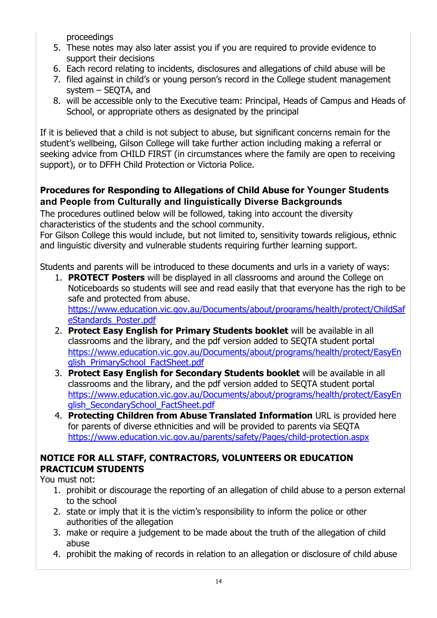proceedings

- 5. These notes may also later assist you if you are required to provide evidence to support their decisions
- 6. Each record relating to incidents, disclosures and allegations of child abuse will be
- 7. filed against in child's or young person's record in the College student management system – SEQTA, and
- 8. will be accessible only to the Executive team: Principal, Heads of Campus and Heads of School, or appropriate others as designated by the principal

If it is believed that a child is not subject to abuse, but significant concerns remain for the student's wellbeing, Gilson College will take further action including making a referral or seeking advice from CHILD FIRST (in circumstances where the family are open to receiving support), or to DFFH Child Protection or Victoria Police.

### **Procedures for Responding to Allegations of Child Abuse for Younger Students and People from Culturally and linguistically Diverse Backgrounds**

The procedures outlined below will be followed, taking into account the diversity characteristics of the students and the school community.

For Gilson College this would include, but not limited to, sensitivity towards religious, ethnic and linguistic diversity and vulnerable students requiring further learning support.

Students and parents will be introduced to these documents and urls in a variety of ways:

- 1. **PROTECT Posters** will be displayed in all classrooms and around the College on Noticeboards so students will see and read easily that that everyone has the righ to be safe and protected from abuse. https://www.education.vic.gov.au/Documents/about/programs/health/protect/ChildSaf eStandards\_Poster.pdf
- 2. **Protect Easy English for Primary Students booklet** will be available in all classrooms and the library, and the pdf version added to SEQTA student portal https://www.education.vic.gov.au/Documents/about/programs/health/protect/EasyEn glish PrimarySchool FactSheet.pdf
- 3. **Protect Easy English for Secondary Students booklet** will be available in all classrooms and the library, and the pdf version added to SEQTA student portal https://www.education.vic.gov.au/Documents/about/programs/health/protect/EasyEn glish SecondarySchool FactSheet.pdf
- 4. **Protecting Children from Abuse Translated Information** URL is provided here for parents of diverse ethnicities and will be provided to parents via SEQTA https://www.education.vic.gov.au/parents/safety/Pages/child-protection.aspx

### **NOTICE FOR ALL STAFF, CONTRACTORS, VOLUNTEERS OR EDUCATION PRACTICUM STUDENTS**

You must not:

- 1. prohibit or discourage the reporting of an allegation of child abuse to a person external to the school
- 2. state or imply that it is the victim's responsibility to inform the police or other authorities of the allegation
- 3. make or require a judgement to be made about the truth of the allegation of child abuse
- 4. prohibit the making of records in relation to an allegation or disclosure of child abuse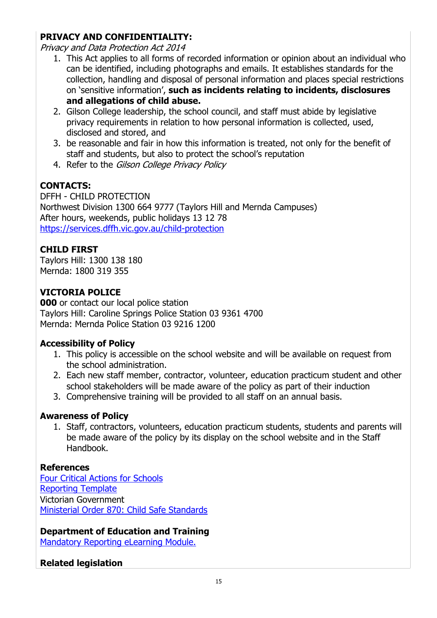### **PRIVACY AND CONFIDENTIALITY:**

Privacy and Data Protection Act 2014

- 1. This Act applies to all forms of recorded information or opinion about an individual who can be identified, including photographs and emails. It establishes standards for the collection, handling and disposal of personal information and places special restrictions on 'sensitive information', **such as incidents relating to incidents, disclosures and allegations of child abuse.**
- 2. Gilson College leadership, the school council, and staff must abide by legislative privacy requirements in relation to how personal information is collected, used, disclosed and stored, and
- 3. be reasonable and fair in how this information is treated, not only for the benefit of staff and students, but also to protect the school's reputation
- 4. Refer to the Gilson College Privacy Policy

### **CONTACTS:**

DFFH - CHILD PROTECTION Northwest Division 1300 664 9777 (Taylors Hill and Mernda Campuses) After hours, weekends, public holidays 13 12 78 https://services.dffh.vic.gov.au/child-protection

### **CHILD FIRST**

Taylors Hill: 1300 138 180 Mernda: 1800 319 355

### **VICTORIA POLICE**

**000** or contact our local police station Taylors Hill: Caroline Springs Police Station 03 9361 4700 Mernda: Mernda Police Station 03 9216 1200

### **Accessibility of Policy**

- 1. This policy is accessible on the school website and will be available on request from the school administration.
- 2. Each new staff member, contractor, volunteer, education practicum student and other school stakeholders will be made aware of the policy as part of their induction
- 3. Comprehensive training will be provided to all staff on an annual basis.

### **Awareness of Policy**

1. Staff, contractors, volunteers, education practicum students, students and parents will be made aware of the policy by its display on the school website and in the Staff Handbook.

### **References**

Four Critical Actions for Schools Reporting Template Victorian Government Ministerial Order 870: Child Safe Standards

### **Department of Education and Training**

Mandatory Reporting eLearning Module.

### **Related legislation**